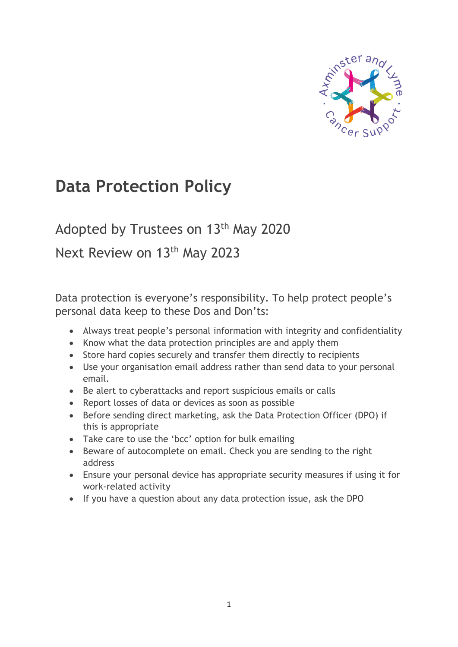

# **Data Protection Policy**

#### Adopted by Trustees on 13<sup>th</sup> May 2020

#### Next Review on 13<sup>th</sup> May 2023

Data protection is everyone's responsibility. To help protect people's personal data keep to these Dos and Don'ts:

- Always treat people's personal information with integrity and confidentiality
- Know what the data protection principles are and apply them
- Store hard copies securely and transfer them directly to recipients
- Use your organisation email address rather than send data to your personal email.
- Be alert to cyberattacks and report suspicious emails or calls
- Report losses of data or devices as soon as possible
- Before sending direct marketing, ask the Data Protection Officer (DPO) if this is appropriate
- Take care to use the 'bcc' option for bulk emailing
- Beware of autocomplete on email. Check you are sending to the right address
- Ensure your personal device has appropriate security measures if using it for work-related activity
- If you have a question about any data protection issue, ask the DPO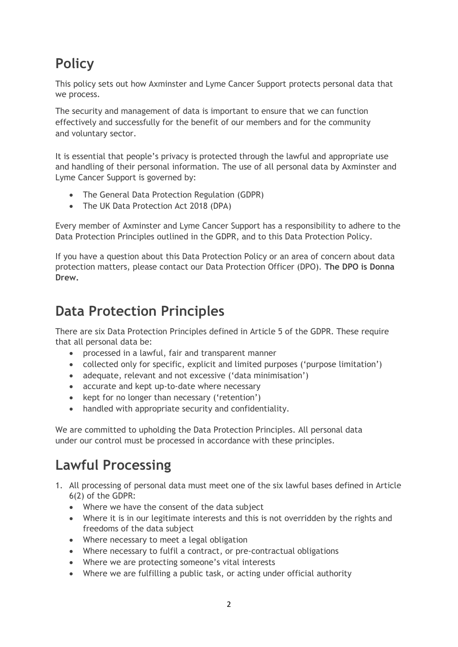# **Policy**

This policy sets out how Axminster and Lyme Cancer Support protects personal data that we process.

The security and management of data is important to ensure that we can function effectively and successfully for the benefit of our members and for the community and voluntary sector.

It is essential that people's privacy is protected through the lawful and appropriate use and handling of their personal information. The use of all personal data by Axminster and Lyme Cancer Support is governed by:

- The General Data Protection Regulation (GDPR)
- The UK Data Protection Act 2018 (DPA)

Every member of Axminster and Lyme Cancer Support has a responsibility to adhere to the Data Protection Principles outlined in the GDPR, and to this Data Protection Policy.

If you have a question about this Data Protection Policy or an area of concern about data protection matters, please contact our Data Protection Officer (DPO). **The DPO is Donna Drew.**

#### **Data Protection Principles**

There are six Data Protection Principles defined in Article 5 of the GDPR. These require that all personal data be:

- processed in a lawful, fair and transparent manner
- collected only for specific, explicit and limited purposes ('purpose limitation')
- adequate, relevant and not excessive ('data minimisation')
- accurate and kept up-to-date where necessary
- kept for no longer than necessary ('retention')
- handled with appropriate security and confidentiality.

We are committed to upholding the Data Protection Principles. All personal data under our control must be processed in accordance with these principles.

# **Lawful Processing**

- 1. All processing of personal data must meet one of the six lawful bases defined in Article 6(2) of the GDPR:
	- Where we have the consent of the data subject
	- Where it is in our legitimate interests and this is not overridden by the rights and freedoms of the data subject
	- Where necessary to meet a legal obligation
	- Where necessary to fulfil a contract, or pre-contractual obligations
	- Where we are protecting someone's vital interests
	- Where we are fulfilling a public task, or acting under official authority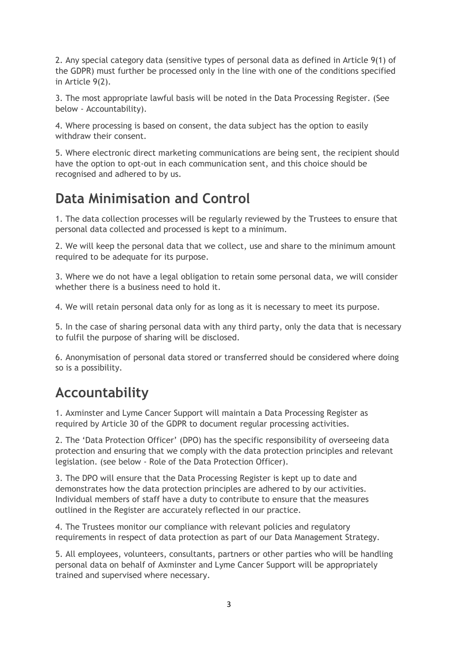2. Any special category data (sensitive types of personal data as defined in Article 9(1) of the GDPR) must further be processed only in the line with one of the conditions specified in Article 9(2).

3. The most appropriate lawful basis will be noted in the Data Processing Register. (See below - Accountability).

4. Where processing is based on consent, the data subject has the option to easily withdraw their consent.

5. Where electronic direct marketing communications are being sent, the recipient should have the option to opt-out in each communication sent, and this choice should be recognised and adhered to by us.

## **Data Minimisation and Control**

1. The data collection processes will be regularly reviewed by the Trustees to ensure that personal data collected and processed is kept to a minimum.

2. We will keep the personal data that we collect, use and share to the minimum amount required to be adequate for its purpose.

3. Where we do not have a legal obligation to retain some personal data, we will consider whether there is a business need to hold it.

4. We will retain personal data only for as long as it is necessary to meet its purpose.

5. In the case of sharing personal data with any third party, only the data that is necessary to fulfil the purpose of sharing will be disclosed.

6. Anonymisation of personal data stored or transferred should be considered where doing so is a possibility.

### **Accountability**

1. Axminster and Lyme Cancer Support will maintain a Data Processing Register as required by Article 30 of the GDPR to document regular processing activities.

2. The 'Data Protection Officer' (DPO) has the specific responsibility of overseeing data protection and ensuring that we comply with the data protection principles and relevant legislation. (see below - Role of the Data Protection Officer).

3. The DPO will ensure that the Data Processing Register is kept up to date and demonstrates how the data protection principles are adhered to by our activities. Individual members of staff have a duty to contribute to ensure that the measures outlined in the Register are accurately reflected in our practice.

4. The Trustees monitor our compliance with relevant policies and regulatory requirements in respect of data protection as part of our Data Management Strategy.

5. All employees, volunteers, consultants, partners or other parties who will be handling personal data on behalf of Axminster and Lyme Cancer Support will be appropriately trained and supervised where necessary.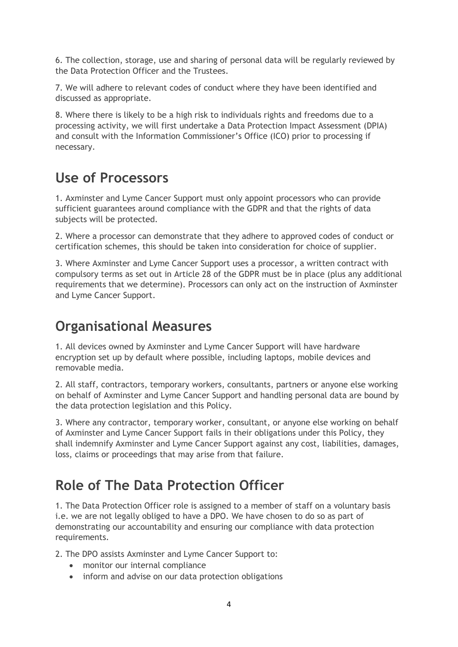6. The collection, storage, use and sharing of personal data will be regularly reviewed by the Data Protection Officer and the Trustees.

7. We will adhere to relevant codes of conduct where they have been identified and discussed as appropriate.

8. Where there is likely to be a high risk to individuals rights and freedoms due to a processing activity, we will first undertake a Data Protection Impact Assessment (DPIA) and consult with the Information Commissioner's Office (ICO) prior to processing if necessary.

### **Use of Processors**

1. Axminster and Lyme Cancer Support must only appoint processors who can provide sufficient guarantees around compliance with the GDPR and that the rights of data subjects will be protected.

2. Where a processor can demonstrate that they adhere to approved codes of conduct or certification schemes, this should be taken into consideration for choice of supplier.

3. Where Axminster and Lyme Cancer Support uses a processor, a written contract with compulsory terms as set out in Article 28 of the GDPR must be in place (plus any additional requirements that we determine). Processors can only act on the instruction of Axminster and Lyme Cancer Support.

# **Organisational Measures**

1. All devices owned by Axminster and Lyme Cancer Support will have hardware encryption set up by default where possible, including laptops, mobile devices and removable media.

2. All staff, contractors, temporary workers, consultants, partners or anyone else working on behalf of Axminster and Lyme Cancer Support and handling personal data are bound by the data protection legislation and this Policy.

3. Where any contractor, temporary worker, consultant, or anyone else working on behalf of Axminster and Lyme Cancer Support fails in their obligations under this Policy, they shall indemnify Axminster and Lyme Cancer Support against any cost, liabilities, damages, loss, claims or proceedings that may arise from that failure.

# **Role of The Data Protection Officer**

1. The Data Protection Officer role is assigned to a member of staff on a voluntary basis i.e. we are not legally obliged to have a DPO. We have chosen to do so as part of demonstrating our accountability and ensuring our compliance with data protection requirements.

2. The DPO assists Axminster and Lyme Cancer Support to:

- monitor our internal compliance
- inform and advise on our data protection obligations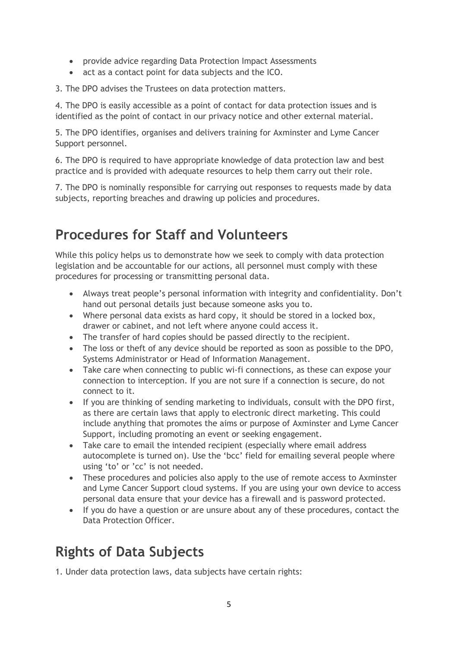- provide advice regarding Data Protection Impact Assessments
- act as a contact point for data subjects and the ICO.

3. The DPO advises the Trustees on data protection matters.

4. The DPO is easily accessible as a point of contact for data protection issues and is identified as the point of contact in our privacy notice and other external material.

5. The DPO identifies, organises and delivers training for Axminster and Lyme Cancer Support personnel.

6. The DPO is required to have appropriate knowledge of data protection law and best practice and is provided with adequate resources to help them carry out their role.

7. The DPO is nominally responsible for carrying out responses to requests made by data subjects, reporting breaches and drawing up policies and procedures.

### **Procedures for Staff and Volunteers**

While this policy helps us to demonstrate how we seek to comply with data protection legislation and be accountable for our actions, all personnel must comply with these procedures for processing or transmitting personal data.

- Always treat people's personal information with integrity and confidentiality. Don't hand out personal details just because someone asks you to.
- Where personal data exists as hard copy, it should be stored in a locked box, drawer or cabinet, and not left where anyone could access it.
- The transfer of hard copies should be passed directly to the recipient.
- The loss or theft of any device should be reported as soon as possible to the DPO, Systems Administrator or Head of Information Management.
- Take care when connecting to public wi-fi connections, as these can expose your connection to interception. If you are not sure if a connection is secure, do not connect to it.
- If you are thinking of sending marketing to individuals, consult with the DPO first, as there are certain laws that apply to electronic direct marketing. This could include anything that promotes the aims or purpose of Axminster and Lyme Cancer Support, including promoting an event or seeking engagement.
- Take care to email the intended recipient (especially where email address autocomplete is turned on). Use the 'bcc' field for emailing several people where using 'to' or 'cc' is not needed.
- These procedures and policies also apply to the use of remote access to Axminster and Lyme Cancer Support cloud systems. If you are using your own device to access personal data ensure that your device has a firewall and is password protected.
- If you do have a question or are unsure about any of these procedures, contact the Data Protection Officer.

### **Rights of Data Subjects**

1. Under data protection laws, data subjects have certain rights: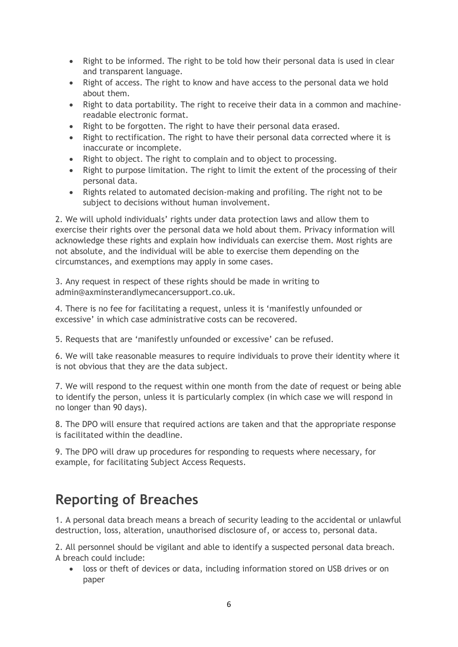- Right to be informed. The right to be told how their personal data is used in clear and transparent language.
- Right of access. The right to know and have access to the personal data we hold about them.
- Right to data portability. The right to receive their data in a common and machinereadable electronic format.
- Right to be forgotten. The right to have their personal data erased.
- Right to rectification. The right to have their personal data corrected where it is inaccurate or incomplete.
- Right to object. The right to complain and to object to processing.
- Right to purpose limitation. The right to limit the extent of the processing of their personal data.
- Rights related to automated decision-making and profiling. The right not to be subject to decisions without human involvement.

2. We will uphold individuals' rights under data protection laws and allow them to exercise their rights over the personal data we hold about them. Privacy information will acknowledge these rights and explain how individuals can exercise them. Most rights are not absolute, and the individual will be able to exercise them depending on the circumstances, and exemptions may apply in some cases.

3. Any request in respect of these rights should be made in writing to admin@axminsterandlymecancersupport.co.uk.

4. There is no fee for facilitating a request, unless it is 'manifestly unfounded or excessive' in which case administrative costs can be recovered.

5. Requests that are 'manifestly unfounded or excessive' can be refused.

6. We will take reasonable measures to require individuals to prove their identity where it is not obvious that they are the data subject.

7. We will respond to the request within one month from the date of request or being able to identify the person, unless it is particularly complex (in which case we will respond in no longer than 90 days).

8. The DPO will ensure that required actions are taken and that the appropriate response is facilitated within the deadline.

9. The DPO will draw up procedures for responding to requests where necessary, for example, for facilitating Subject Access Requests.

#### **Reporting of Breaches**

1. A personal data breach means a breach of security leading to the accidental or unlawful destruction, loss, alteration, unauthorised disclosure of, or access to, personal data.

2. All personnel should be vigilant and able to identify a suspected personal data breach. A breach could include:

• loss or theft of devices or data, including information stored on USB drives or on paper